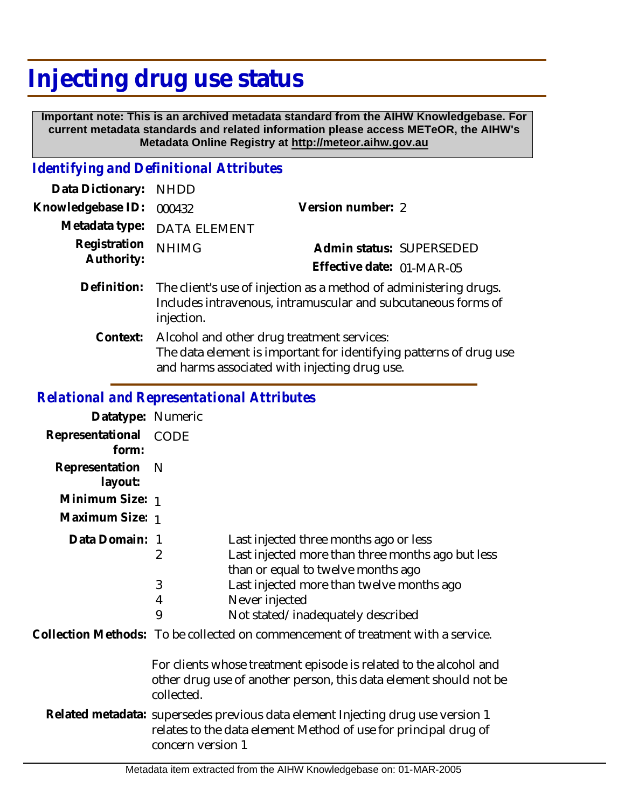# **Injecting drug use status**

 **Important note: This is an archived metadata standard from the AIHW Knowledgebase. For current metadata standards and related information please access METeOR, the AIHW's Metadata Online Registry at http://meteor.aihw.gov.au**

## *Identifying and Definitional Attributes*

| Data Dictionary:           | <b>NHDD</b>                                                                                                                                                       |                           |
|----------------------------|-------------------------------------------------------------------------------------------------------------------------------------------------------------------|---------------------------|
| Knowledgebase ID:          | 000432                                                                                                                                                            | Version number: 2         |
| Metadata type:             | <b>DATA ELEMENT</b>                                                                                                                                               |                           |
| Registration<br>Authority: | <b>NHIMG</b>                                                                                                                                                      | Admin status: SUPERSEDED  |
|                            |                                                                                                                                                                   | Effective date: 01-MAR-05 |
| Definition:                | The client's use of injection as a method of administering drugs.<br>Includes intravenous, intramuscular and subcutaneous forms of<br>injection.                  |                           |
| Context:                   | Alcohol and other drug treatment services:<br>The data element is important for identifying patterns of drug use<br>and harms associated with injecting drug use. |                           |

## *Relational and Representational Attributes*

| Datatype: Numeric         |                                                                                                                                                                                                                                                                                                                                                     |  |
|---------------------------|-----------------------------------------------------------------------------------------------------------------------------------------------------------------------------------------------------------------------------------------------------------------------------------------------------------------------------------------------------|--|
| Representational<br>form: | CODE                                                                                                                                                                                                                                                                                                                                                |  |
| Representation<br>layout: | - N                                                                                                                                                                                                                                                                                                                                                 |  |
| Minimum Size: 1           |                                                                                                                                                                                                                                                                                                                                                     |  |
| Maximum Size: 1           |                                                                                                                                                                                                                                                                                                                                                     |  |
| Data Domain:              | Last injected three months ago or less<br>-1<br>Last injected more than three months ago but less<br>2<br>than or equal to twelve months ago<br>3<br>Last injected more than twelve months ago<br>Never injected<br>4<br>9<br>Not stated/inadequately described<br>Collection Methods: To be collected on commencement of treatment with a service. |  |
|                           | For clients whose treatment episode is related to the alcohol and<br>other drug use of another person, this data element should not be<br>collected.                                                                                                                                                                                                |  |
|                           | Related metadata: supersedes previous data element Injecting drug use version 1<br>relates to the data element Method of use for principal drug of<br>concern version 1                                                                                                                                                                             |  |